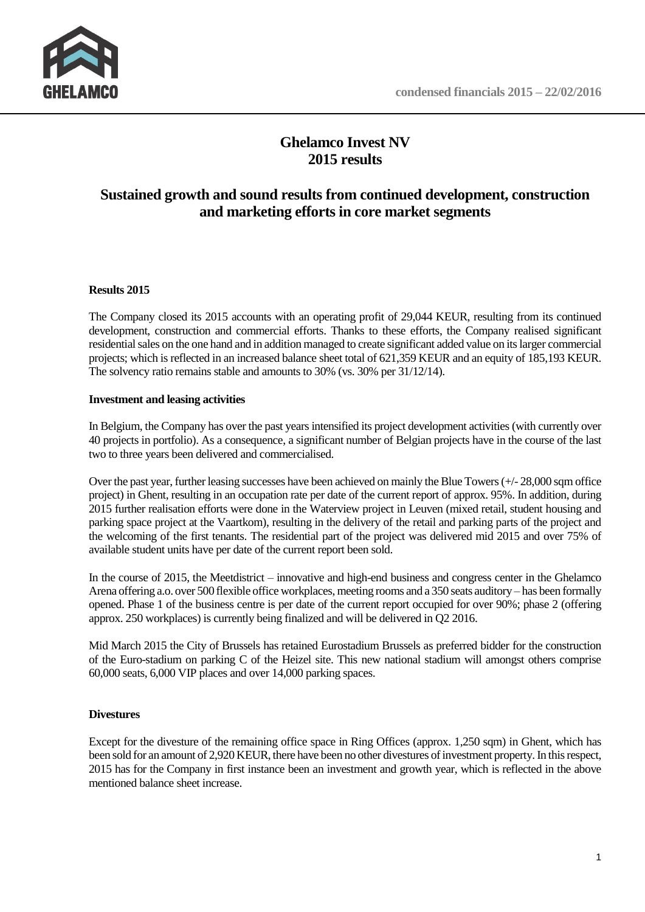

# **Ghelamco Invest NV 2015 results**

# **Sustained growth and sound results from continued development, construction and marketing efforts in core market segments**

## **Results 2015**

The Company closed its 2015 accounts with an operating profit of 29,044 KEUR, resulting from its continued development, construction and commercial efforts. Thanks to these efforts, the Company realised significant residential sales on the one hand and in addition managed to create significant added value on its larger commercial projects; which is reflected in an increased balance sheet total of 621,359 KEUR and an equity of 185,193 KEUR. The solvency ratio remains stable and amounts to 30% (vs. 30% per 31/12/14).

## **Investment and leasing activities**

In Belgium, the Company has over the past years intensified its project development activities(with currently over 40 projects in portfolio). As a consequence, a significant number of Belgian projects have in the course of the last two to three years been delivered and commercialised.

Over the past year, further leasing successes have been achieved on mainly the Blue Towers (+/- 28,000 sqm office project) in Ghent, resulting in an occupation rate per date of the current report of approx. 95%. In addition, during 2015 further realisation efforts were done in the Waterview project in Leuven (mixed retail, student housing and parking space project at the Vaartkom), resulting in the delivery of the retail and parking parts of the project and the welcoming of the first tenants. The residential part of the project was delivered mid 2015 and over 75% of available student units have per date of the current report been sold.

In the course of 2015, the Meetdistrict – innovative and high-end business and congress center in the Ghelamco Arena offering a.o. over 500 flexible office workplaces, meeting rooms and a 350 seats auditory – has been formally opened. Phase 1 of the business centre is per date of the current report occupied for over 90%; phase 2 (offering approx. 250 workplaces) is currently being finalized and will be delivered in Q2 2016.

Mid March 2015 the City of Brussels has retained Eurostadium Brussels as preferred bidder for the construction of the Euro-stadium on parking C of the Heizel site. This new national stadium will amongst others comprise 60,000 seats, 6,000 VIP places and over 14,000 parking spaces.

## **Divestures**

Except for the divesture of the remaining office space in Ring Offices (approx. 1,250 sqm) in Ghent, which has been sold for an amount of 2,920 KEUR, there have been no other divestures of investment property. In this respect, 2015 has for the Company in first instance been an investment and growth year, which is reflected in the above mentioned balance sheet increase.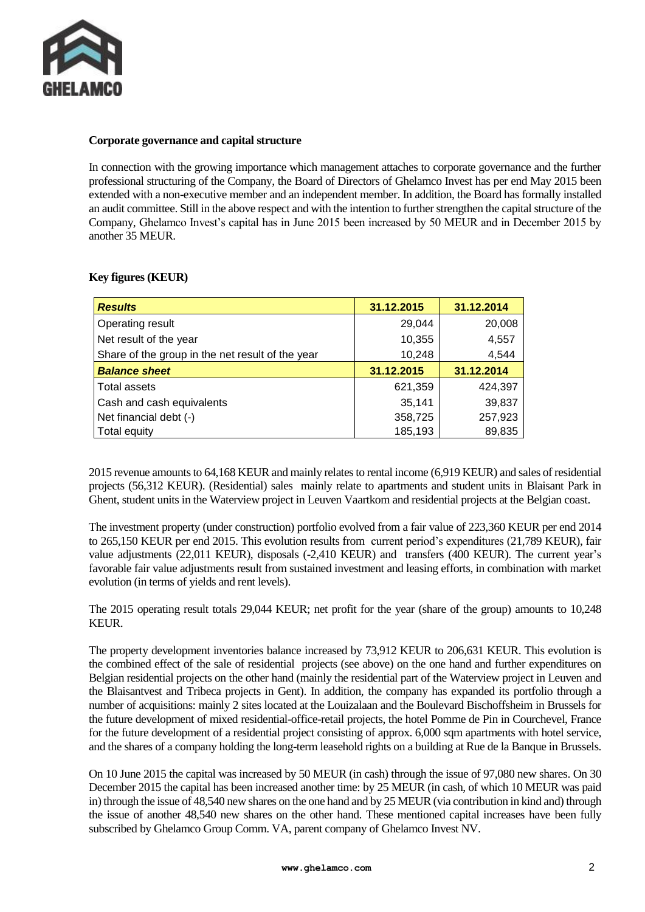

#### **Corporate governance and capital structure**

In connection with the growing importance which management attaches to corporate governance and the further professional structuring of the Company, the Board of Directors of Ghelamco Invest has per end May 2015 been extended with a non-executive member and an independent member. In addition, the Board has formally installed an audit committee. Still in the above respect and with the intention to further strengthen the capital structure of the Company, Ghelamco Invest's capital has in June 2015 been increased by 50 MEUR and in December 2015 by another 35 MEUR.

#### **Key figures (KEUR)**

| <b>Results</b>                                   | 31.12.2015 | 31.12.2014 |
|--------------------------------------------------|------------|------------|
| Operating result                                 | 29,044     | 20,008     |
| Net result of the year                           | 10,355     | 4,557      |
| Share of the group in the net result of the year | 10,248     | 4,544      |
| <b>Balance sheet</b>                             | 31.12.2015 | 31.12.2014 |
| Total assets                                     | 621,359    | 424,397    |
| Cash and cash equivalents                        | 35,141     | 39,837     |
| Net financial debt (-)                           | 358,725    | 257,923    |
| Total equity                                     | 185,193    | 89,835     |

2015 revenue amounts to 64,168 KEUR and mainly relates to rental income (6,919 KEUR) and sales of residential projects (56,312 KEUR). (Residential) sales mainly relate to apartments and student units in Blaisant Park in Ghent, student units in the Waterview project in Leuven Vaartkom and residential projects at the Belgian coast.

The investment property (under construction) portfolio evolved from a fair value of 223,360 KEUR per end 2014 to 265,150 KEUR per end 2015. This evolution results from current period's expenditures (21,789 KEUR), fair value adjustments (22,011 KEUR), disposals (-2,410 KEUR) and transfers (400 KEUR). The current year's favorable fair value adjustments result from sustained investment and leasing efforts, in combination with market evolution (in terms of yields and rent levels).

The 2015 operating result totals 29,044 KEUR; net profit for the year (share of the group) amounts to 10,248 KEUR.

The property development inventories balance increased by 73,912 KEUR to 206,631 KEUR. This evolution is the combined effect of the sale of residential projects (see above) on the one hand and further expenditures on Belgian residential projects on the other hand (mainly the residential part of the Waterview project in Leuven and the Blaisantvest and Tribeca projects in Gent). In addition, the company has expanded its portfolio through a number of acquisitions: mainly 2 sites located at the Louizalaan and the Boulevard Bischoffsheim in Brussels for the future development of mixed residential-office-retail projects, the hotel Pomme de Pin in Courchevel, France for the future development of a residential project consisting of approx. 6,000 sqm apartments with hotel service, and the shares of a company holding the long-term leasehold rights on a building at Rue de la Banque in Brussels.

On 10 June 2015 the capital was increased by 50 MEUR (in cash) through the issue of 97,080 new shares. On 30 December 2015 the capital has been increased another time: by 25 MEUR (in cash, of which 10 MEUR was paid in) through the issue of 48,540 new shares on the one hand and by 25 MEUR (via contribution in kind and) through the issue of another 48,540 new shares on the other hand. These mentioned capital increases have been fully subscribed by Ghelamco Group Comm. VA, parent company of Ghelamco Invest NV.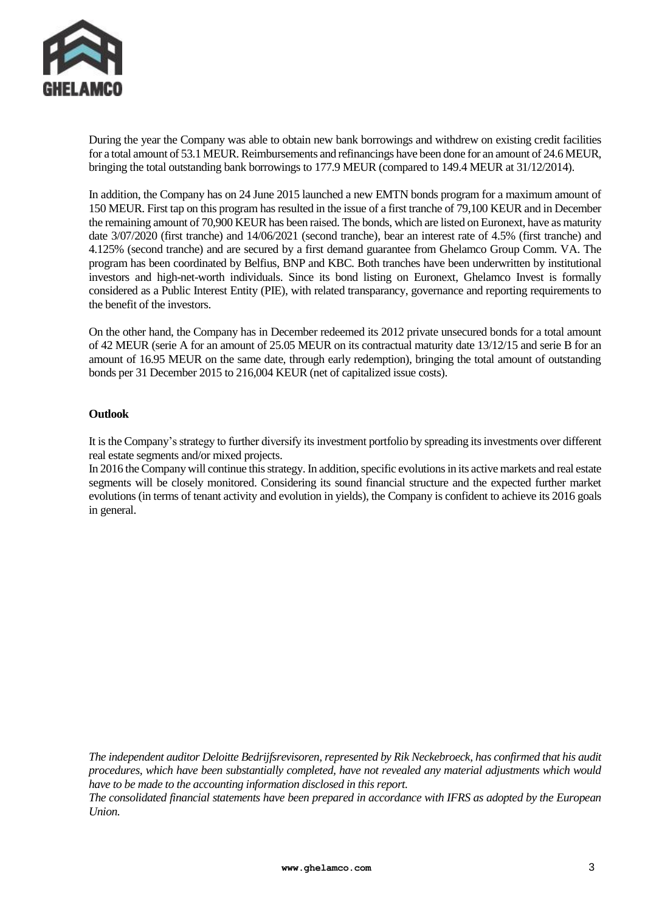

During the year the Company was able to obtain new bank borrowings and withdrew on existing credit facilities for a total amount of 53.1 MEUR. Reimbursements and refinancings have been done for an amount of 24.6 MEUR, bringing the total outstanding bank borrowings to 177.9 MEUR (compared to 149.4 MEUR at 31/12/2014).

In addition, the Company has on 24 June 2015 launched a new EMTN bonds program for a maximum amount of 150 MEUR. First tap on this program has resulted in the issue of a first tranche of 79,100 KEUR and in December the remaining amount of 70,900 KEUR has been raised. The bonds, which are listed on Euronext, have as maturity date 3/07/2020 (first tranche) and 14/06/2021 (second tranche), bear an interest rate of 4.5% (first tranche) and 4.125% (second tranche) and are secured by a first demand guarantee from Ghelamco Group Comm. VA. The program has been coordinated by Belfius, BNP and KBC. Both tranches have been underwritten by institutional investors and high-net-worth individuals. Since its bond listing on Euronext, Ghelamco Invest is formally considered as a Public Interest Entity (PIE), with related transparancy, governance and reporting requirements to the benefit of the investors.

On the other hand, the Company has in December redeemed its 2012 private unsecured bonds for a total amount of 42 MEUR (serie A for an amount of 25.05 MEUR on its contractual maturity date 13/12/15 and serie B for an amount of 16.95 MEUR on the same date, through early redemption), bringing the total amount of outstanding bonds per 31 December 2015 to 216,004 KEUR (net of capitalized issue costs).

#### **Outlook**

It is the Company's strategy to further diversify its investment portfolio by spreading its investments over different real estate segments and/or mixed projects.

In 2016 the Company will continue thisstrategy. In addition, specific evolutions in its active markets and real estate segments will be closely monitored. Considering its sound financial structure and the expected further market evolutions (in terms of tenant activity and evolution in yields), the Company is confident to achieve its 2016 goals in general.

*The independent auditor Deloitte Bedrijfsrevisoren, represented by Rik Neckebroeck, has confirmed that his audit procedures, which have been substantially completed, have not revealed any material adjustments which would have to be made to the accounting information disclosed in this report.*

*The consolidated financial statements have been prepared in accordance with IFRS as adopted by the European Union.*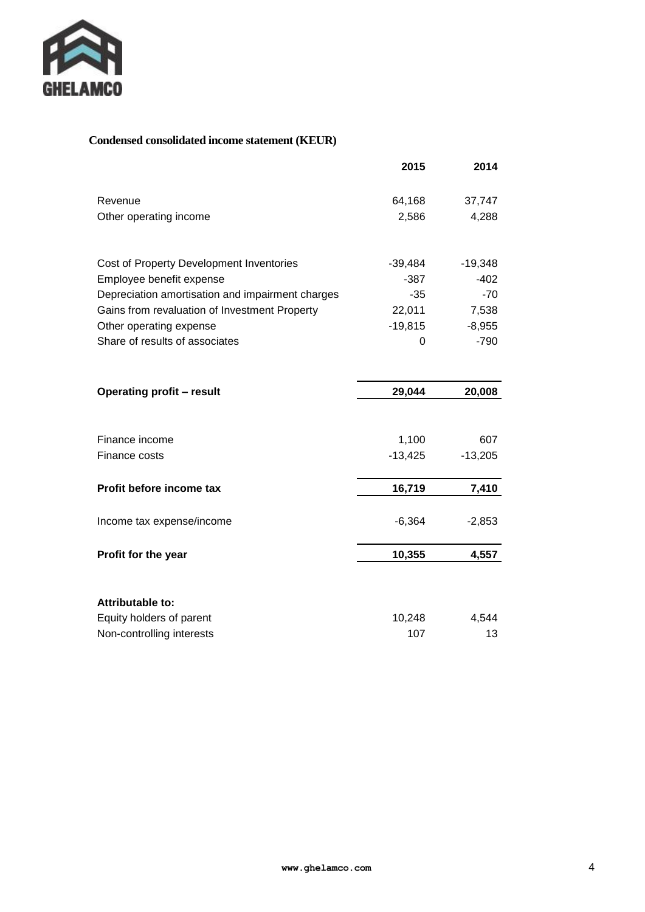

# **Condensed consolidated income statement (KEUR)**

|                                                  | 2015      | 2014      |
|--------------------------------------------------|-----------|-----------|
| Revenue                                          | 64,168    | 37,747    |
| Other operating income                           | 2,586     | 4,288     |
|                                                  |           |           |
| Cost of Property Development Inventories         | $-39,484$ | $-19,348$ |
| Employee benefit expense                         | $-387$    | $-402$    |
| Depreciation amortisation and impairment charges | $-35$     | $-70$     |
| Gains from revaluation of Investment Property    | 22,011    | 7,538     |
| Other operating expense                          | $-19,815$ | $-8,955$  |
| Share of results of associates                   | 0         | $-790$    |
|                                                  |           |           |
| <b>Operating profit - result</b>                 | 29,044    | 20,008    |
|                                                  |           |           |
| Finance income                                   | 1,100     | 607       |
| Finance costs                                    | $-13,425$ | $-13,205$ |
| Profit before income tax                         | 16,719    | 7,410     |
| Income tax expense/income                        | $-6,364$  | $-2,853$  |
| Profit for the year                              | 10,355    | 4,557     |
| <b>Attributable to:</b>                          |           |           |
| Equity holders of parent                         | 10,248    | 4,544     |
|                                                  |           | 13        |
| Non-controlling interests                        | 107       |           |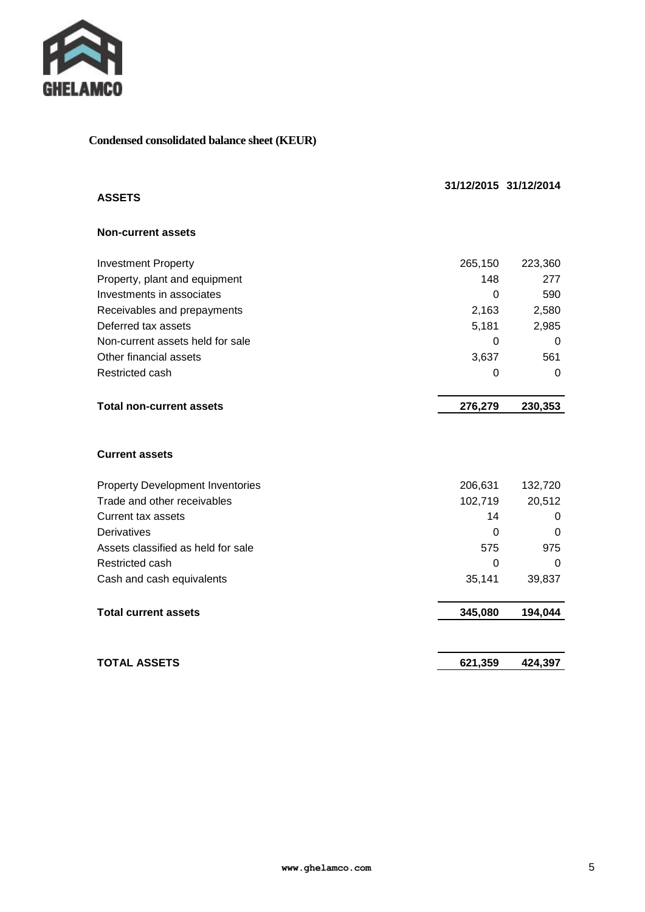

# **Condensed consolidated balance sheet (KEUR)**

|                                         |                | 31/12/2015 31/12/2014 |
|-----------------------------------------|----------------|-----------------------|
| <b>ASSETS</b>                           |                |                       |
| <b>Non-current assets</b>               |                |                       |
| <b>Investment Property</b>              | 265,150        | 223,360               |
| Property, plant and equipment           | 148            | 277                   |
| Investments in associates               | $\Omega$       | 590                   |
| Receivables and prepayments             | 2,163          | 2,580                 |
| Deferred tax assets                     | 5,181          | 2,985                 |
| Non-current assets held for sale        | $\Omega$       | 0                     |
| Other financial assets                  | 3,637          | 561                   |
| Restricted cash                         | 0              | 0                     |
| <b>Total non-current assets</b>         | 276,279        | 230,353               |
| <b>Current assets</b>                   |                |                       |
| <b>Property Development Inventories</b> | 206,631        | 132,720               |
| Trade and other receivables             | 102,719        | 20,512                |
| <b>Current tax assets</b>               | 14             | 0                     |
| Derivatives                             | $\Omega$       | 0                     |
| Assets classified as held for sale      | 575            | 975                   |
| Restricted cash                         | $\overline{0}$ | 0                     |
| Cash and cash equivalents               | 35,141         | 39,837                |
| <b>Total current assets</b>             | 345,080        | 194,044               |
| <b>TOTAL ASSETS</b>                     | 621,359        | 424,397               |